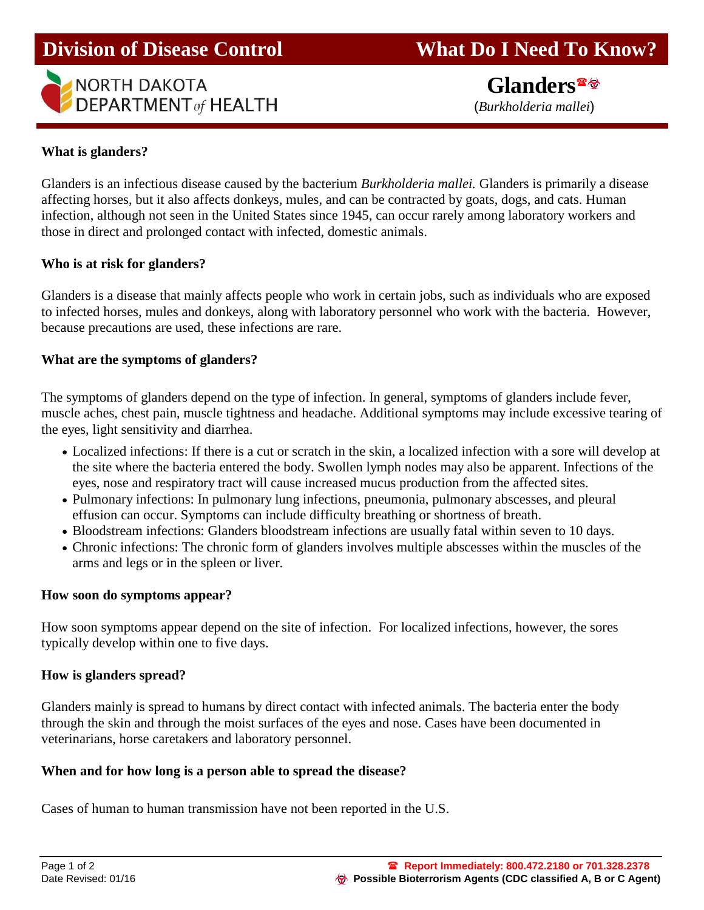

 **Glanders** (*Burkholderia mallei*)

### **What is glanders?**

Glanders is an infectious disease caused by the bacterium *Burkholderia mallei.* Glanders is primarily a disease affecting horses, but it also affects donkeys, mules, and can be contracted by goats, dogs, and cats. Human infection, although not seen in the United States since 1945, can occur rarely among laboratory workers and those in direct and prolonged contact with infected, domestic animals.

### **Who is at risk for glanders?**

Glanders is a disease that mainly affects people who work in certain jobs, such as individuals who are exposed to infected horses, mules and donkeys, along with laboratory personnel who work with the bacteria. However, because precautions are used, these infections are rare.

# **What are the symptoms of glanders?**

The symptoms of glanders depend on the type of infection. In general, symptoms of glanders include fever, muscle aches, chest pain, muscle tightness and headache. Additional symptoms may include excessive tearing of the eyes, light sensitivity and diarrhea.

- Localized infections: If there is a cut or scratch in the skin, a localized infection with a sore will develop at the site where the bacteria entered the body. Swollen lymph nodes may also be apparent. Infections of the eyes, nose and respiratory tract will cause increased mucus production from the affected sites.
- Pulmonary infections: In pulmonary lung infections, pneumonia, pulmonary abscesses, and pleural effusion can occur. Symptoms can include difficulty breathing or shortness of breath.
- Bloodstream infections: Glanders bloodstream infections are usually fatal within seven to 10 days.
- Chronic infections: The chronic form of glanders involves multiple abscesses within the muscles of the arms and legs or in the spleen or liver.

### **How soon do symptoms appear?**

How soon symptoms appear depend on the site of infection. For localized infections, however, the sores typically develop within one to five days.

### **How is glanders spread?**

Glanders mainly is spread to humans by direct contact with infected animals. The bacteria enter the body through the skin and through the moist surfaces of the eyes and nose. Cases have been documented in veterinarians, horse caretakers and laboratory personnel.

### **When and for how long is a person able to spread the disease?**

Cases of human to human transmission have not been reported in the U.S.